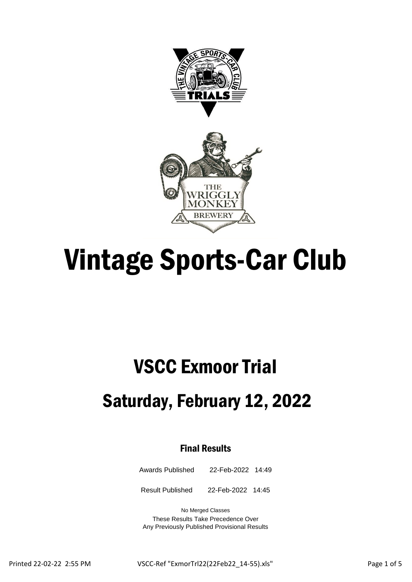



# Vintage Sports-Car Club

## VSCC Exmoor Trial

### Saturday, February 12, 2022

### Final Results

Awards Published 22-Feb-2022 14:49

Result Published 22-Feb-2022 14:45

No Merged Classes These Results Take Precedence Over Any Previously Published Provisional Results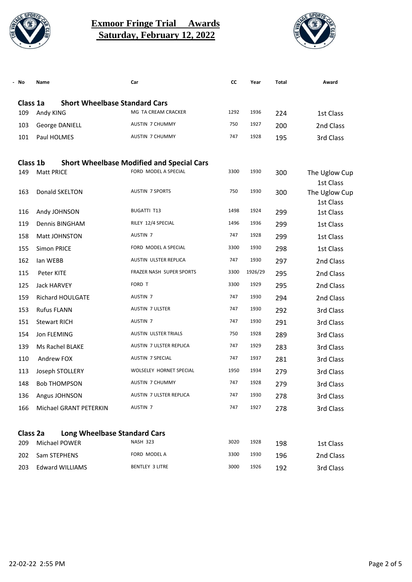

#### **Exmoor Fringe Trial Awards Saturday, February 12, 2022**



| No       | Name                                 | Car                                              | CC   | Year    | Total | Award                      |
|----------|--------------------------------------|--------------------------------------------------|------|---------|-------|----------------------------|
| Class 1a | <b>Short Wheelbase Standard Cars</b> |                                                  |      |         |       |                            |
| 109      | Andy KING                            | MG TA CREAM CRACKER                              | 1292 | 1936    | 224   | 1st Class                  |
| 103      | George DANIELL                       | <b>AUSTIN 7 CHUMMY</b>                           | 750  | 1927    | 200   | 2nd Class                  |
| 101      | Paul HOLMES                          | <b>AUSTIN 7 CHUMMY</b>                           | 747  | 1928    | 195   | 3rd Class                  |
| Class 1b |                                      | <b>Short Wheelbase Modified and Special Cars</b> |      |         |       |                            |
| 149      | <b>Matt PRICE</b>                    | FORD MODEL A SPECIAL                             | 3300 | 1930    | 300   | The Uglow Cup              |
| 163      | Donald SKELTON                       | <b>AUSTIN 7 SPORTS</b>                           | 750  | 1930    | 300   | 1st Class<br>The Uglow Cup |
|          |                                      |                                                  |      |         |       | 1st Class                  |
| 116      | Andy JOHNSON                         | <b>BUGATTI T13</b>                               | 1498 | 1924    | 299   | 1st Class                  |
| 119      | Dennis BINGHAM                       | RILEY 12/4 SPECIAL                               | 1496 | 1936    | 299   | 1st Class                  |
| 158      | Matt JOHNSTON                        | AUSTIN <sub>7</sub>                              | 747  | 1928    | 299   | 1st Class                  |
| 155      | Simon PRICE                          | FORD MODEL A SPECIAL                             | 3300 | 1930    | 298   | 1st Class                  |
| 162      | lan WEBB                             | AUSTIN ULSTER REPLICA                            | 747  | 1930    | 297   | 2nd Class                  |
| 115      | Peter KITE                           | FRAZER NASH SUPER SPORTS                         | 3300 | 1926/29 | 295   | 2nd Class                  |
| 125      | <b>Jack HARVEY</b>                   | FORD T                                           | 3300 | 1929    | 295   | 2nd Class                  |
| 159      | Richard HOULGATE                     | AUSTIN <sub>7</sub>                              | 747  | 1930    | 294   | 2nd Class                  |
| 153      | <b>Rufus FLANN</b>                   | AUSTIN 7 ULSTER                                  | 747  | 1930    | 292   | 3rd Class                  |
| 151      | <b>Stewart RICH</b>                  | AUSTIN <sub>7</sub>                              | 747  | 1930    | 291   | 3rd Class                  |
| 154      | Jon FLEMING                          | AUSTIN ULSTER TRIALS                             | 750  | 1928    | 289   | 3rd Class                  |
| 139      | Ms Rachel BLAKE                      | AUSTIN 7 ULSTER REPLICA                          | 747  | 1929    | 283   | 3rd Class                  |
| 110      | Andrew FOX                           | AUSTIN 7 SPECIAL                                 | 747  | 1937    | 281   | 3rd Class                  |
| 113      | Joseph STOLLERY                      | WOLSELEY HORNET SPECIAL                          | 1950 | 1934    | 279   | 3rd Class                  |
| 148      | <b>Bob THOMPSON</b>                  | <b>AUSTIN 7 CHUMMY</b>                           | 747  | 1928    | 279   | 3rd Class                  |
| 136      | Angus JOHNSON                        | AUSTIN 7 ULSTER REPLICA                          | 747  | 1930    | 278   | 3rd Class                  |
| 166      | Michael GRANT PETERKIN               | AUSTIN <sub>7</sub>                              | 747  | 1927    | 278   | 3rd Class                  |
| Class 2a | <b>Long Wheelbase Standard Cars</b>  |                                                  |      |         |       |                            |
| 209      | Michael POWER                        | <b>NASH 323</b>                                  | 3020 | 1928    | 198   | 1st Class                  |
| 202      | Sam STEPHENS                         | FORD MODEL A                                     | 3300 | 1930    | 196   | 2nd Class                  |
| 203      | <b>Edward WILLIAMS</b>               | BENTLEY 3 LITRE                                  | 3000 | 1926    | 192   | 3rd Class                  |
|          |                                      |                                                  |      |         |       |                            |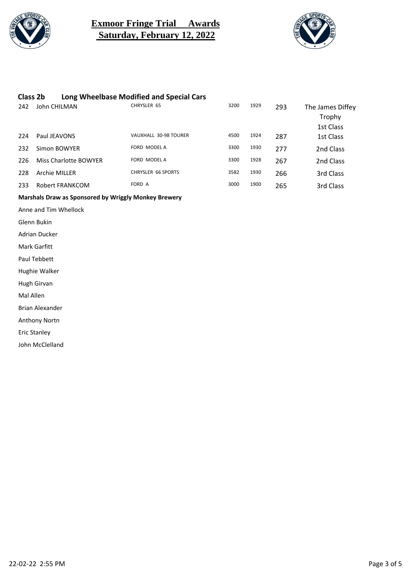

#### **Exmoor Fringe Trial Awards Saturday, February 12, 2022**



#### **Class 2b Long Wheelbase Modified and Special Cars**<br>242 Lohn CHILMAN CHRYSLER 65 242 John CHILMAN CHRYSLER 65 CHRYSLER 65 3200 1929 293 The James Diffey Trophy 1st Class 224 Paul JEAVONS VAUXHALL 30-98 TOURER <sup>4500</sup> <sup>1924</sup> 287 1st Class 232 Simon BOWYER FORD MODEL A 3300 1930 277 2nd Class 226 Miss Charlotte BOWYER FORD MODEL A 3300 1928 267 2nd Class 228 Archie MILLER CHRYSLER 66 SPORTS 3582 1930 266 3rd Class 233 Robert FRANKCOM **FORD A** FORD A 3000 1900 265 3rd Class

#### **Marshals Draw as Sponsored by Wriggly Monkey Brewery**

Anne and Tim Whellock

Glenn Bukin

Adrian Ducker

Mark Garfitt

Paul Tebbett

Hughie Walker

Hugh Girvan

Mal Allen

Brian Alexander

Anthony Nortn

Eric Stanley

John McClelland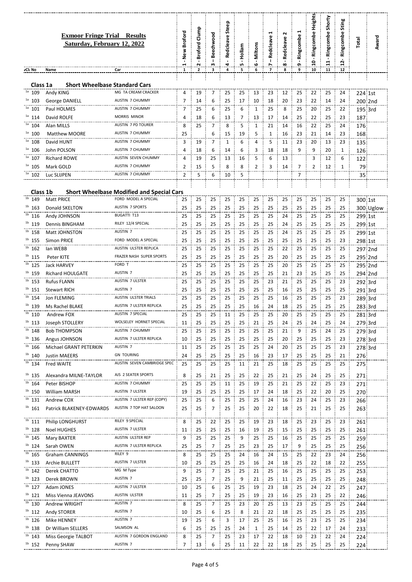|                        | <b>Exmoor Fringe Trial Results</b><br>Saturday, February 12, 2022 |                                                  | New Broford<br>$\blacksquare$ | Clump<br>Broford<br>$\cdot$ | <b>Beechwood</b><br>$\mathbf{I}$ | Steep<br>Redcleave | lam<br>횓<br>$\cdot$<br>L٥ | Miltons<br>$\blacksquare$ | Redcleave<br>$\overline{\phantom{a}}$ | $\sim$<br>Redcleave<br>$\blacksquare$<br>∞ | Ringcombe<br>$\overline{\phantom{a}}$<br>໑ | <b>Heights</b><br>Ringcombe<br>o | Shorty<br>Ringcombe | Sting<br>Ringcombe<br>Ņ | Total      | Award              |
|------------------------|-------------------------------------------------------------------|--------------------------------------------------|-------------------------------|-----------------------------|----------------------------------|--------------------|---------------------------|---------------------------|---------------------------------------|--------------------------------------------|--------------------------------------------|----------------------------------|---------------------|-------------------------|------------|--------------------|
| vCl: No                | Name                                                              | Car                                              | 1                             | 2                           | з                                | 4                  | 5                         | 6                         | $\overline{7}$                        | 8                                          | 9                                          | 10                               | 11                  | 12                      |            |                    |
| Class 1a               | <b>Short Wheelbase Standard Cars</b>                              |                                                  |                               |                             |                                  |                    |                           |                           |                                       |                                            |                                            |                                  |                     |                         |            |                    |
| 1a<br>109<br>1a<br>103 | Andy KING                                                         | MG TA CREAM CRACKER<br><b>AUSTIN 7 CHUMMY</b>    | 4<br>7                        | 19                          | 7<br>6                           | 25                 | 25                        | 13                        | 23                                    | 12                                         | 25                                         | 22                               | 25                  | 24<br>24                | 224 1st    |                    |
| $1a$ 101               | George DANIELL<br>Paul HOLMES                                     | <b>AUSTIN 7 CHUMMY</b>                           | 7                             | 14<br>25                    | 6                                | 25<br>25           | 17<br>6                   | 10<br>1                   | 18<br>25                              | 20<br>8                                    | 23<br>25                                   | 22<br>20                         | 14<br>25            | 22                      |            | 200 2nd<br>195 3rd |
| $1a$ 114               | David ROLFE                                                       | <b>MORRIS MINOR</b>                              | 4                             | 18                          | 6                                | 13                 | 7                         | 13                        | 17                                    | 14                                         | 25                                         | 22                               | 25                  | 23                      | 187        |                    |
| $1a$ 104               | Alan MILLS                                                        | AUSTIN 7 PD TOURER                               | 8                             | 25                          | 7                                | 8                  | 5                         | 1                         | 21                                    | 14                                         | 16                                         | 22                               | 25                  | 24                      | 176        |                    |
| $1a$ 100               | <b>Matthew MOORE</b>                                              | AUSTIN 7 CHUMMY                                  | 25                            |                             | 6                                | 15                 | 19                        | 5                         | 1                                     | 16                                         | 23                                         | 21                               | 14                  | 23                      | 168        |                    |
| $1a$ 108               | David HUNT                                                        | <b>AUSTIN 7 CHUMMY</b>                           | 3                             | 19                          | 7                                | 1                  | 6                         | 4                         | 5                                     | 11                                         | 23                                         | 20                               | 13                  | 23                      | 135        |                    |
| $1a$ 106               | John POLSON                                                       | <b>AUSTIN 7 CHUMMY</b>                           | 4                             | 18                          | 6                                | 14                 | 6                         | 3                         | 18                                    | 18                                         | 9                                          | 9                                | 20                  | $\mathbf{1}$            | 126        |                    |
| $1a$ 107               | <b>Richard ROWE</b>                                               | AUSTIN SEVEN CHUMMY                              | 4                             | 19                          | 25                               | 13                 | 16                        | 5                         | 6                                     | 13                                         |                                            | 3                                | 12                  | 6                       | 122        |                    |
| $1a$ 105               | Mark GOLD                                                         | <b>AUSTIN 7 CHUMMY</b>                           | $\overline{2}$                | 15                          | 5                                | 8                  | 8                         | $\overline{2}$            | 3                                     | 14                                         | $\overline{7}$                             | $\overline{2}$                   | 12                  | $\mathbf{1}$            | 79         |                    |
| 102                    | Luc SLIJPEN                                                       | <b>AUSTIN 7 CHUMMY</b>                           | 2                             | 5                           | 6                                | 10                 | 5                         |                           |                                       |                                            | 7                                          |                                  |                     |                         | 35         |                    |
| Class 1b               |                                                                   | <b>Short Wheelbase Modified and Special Cars</b> |                               |                             |                                  |                    |                           |                           |                                       |                                            |                                            |                                  |                     |                         |            |                    |
| $10$ 149               | <b>Matt PRICE</b>                                                 | FORD MODEL A SPECIAL                             | 25                            | 25                          | 25                               | 25                 | 25                        | 25                        | 25                                    | 25                                         | 25                                         | 25                               | 25                  | 25                      | 300 1st    |                    |
| $1b$ 163               | Donald SKELTON                                                    | <b>AUSTIN 7 SPORTS</b>                           | 25                            | 25                          | 25                               | 25                 | 25                        | 25                        | 25                                    | 25                                         | 25                                         | 25                               | 25                  | 25                      |            | 300 Uglow          |
| $1b$ 116               | Andy JOHNSON                                                      | <b>BUGATTI T13</b>                               | 25                            | 25                          | 25                               | 25                 | 25                        | 25                        | 25                                    | 24                                         | 25                                         | 25                               | 25                  | 25                      | 299 1st    |                    |
| $1b$ 119               | Dennis BINGHAM                                                    | RILEY 12/4 SPECIAL                               | 25                            | 25                          | 25                               | 25                 | 25                        | 25                        | 25                                    | 24                                         | 25                                         | 25                               | 25                  | 25                      | 299 1st    |                    |
| $1b$ 158               | Matt JOHNSTON                                                     | AUSTIN <sub>7</sub>                              | 25                            | 25                          | 25                               | 25                 | 25                        | 25                        | 25                                    | 24                                         | 25                                         | 25                               | 25                  | 25                      | 299 1st    |                    |
| $1b$ 155               | <b>Simon PRICE</b>                                                | FORD MODEL A SPECIAL                             | 25                            | 25                          | 25                               | 25                 | 25                        | 25                        | 25                                    | 25                                         | 25                                         | 25                               | 25                  | 23                      | 298 1st    |                    |
| $1b$ 162               | lan WEBB                                                          | AUSTIN ULSTER REPLICA                            | 25                            | 25                          | 25                               | 25                 | 25                        | 25                        | 25                                    | 22                                         | 25                                         | 25                               | 25                  | 25                      |            | 297 2nd            |
| $1b$ 115<br>$1b$ 125   | Peter KITE<br><b>Jack HARVEY</b>                                  | FRAZER NASH SUPER SPORTS<br>FORD T               | 25<br>25                      | 25<br>25                    | 25<br>25                         | 25<br>25           | 25<br>25                  | 25<br>25                  | 25<br>25                              | 20<br>20                                   | 25<br>25                                   | 25<br>25                         | 25<br>25            | 25<br>25                |            | 295 2nd            |
| $1b$ 159               | <b>Richard HOULGATE</b>                                           | AUSTIN <sub>7</sub>                              | 25                            | 25                          | 25                               | 25                 | 25                        | 25                        | 25                                    | 21                                         | 23                                         | 25                               | 25                  | 25                      |            | 295 2nd<br>294 2nd |
| $1b$ 153               | <b>Rufus FLANN</b>                                                | <b>AUSTIN 7 ULSTER</b>                           | 25                            | 25                          | 25                               | 25                 | 25                        | 25                        | 23                                    | 21                                         | 25                                         | 25                               | 25                  | 23                      | 292 3rd    |                    |
| $1b$ 151               | <b>Stewart RICH</b>                                               | AUSTIN <sub>7</sub>                              | 25                            | 25                          | 25                               | 25                 | 25                        | 25                        | 25                                    | 16                                         | 25                                         | 25                               | 25                  | 25                      | 291 3rd    |                    |
| $1b$ 154               | Jon FLEMING                                                       | <b>AUSTIN ULSTER TRIALS</b>                      | 25                            | 25                          | 25                               | 25                 | 25                        | 25                        | 25                                    | 16                                         | 25                                         | 25                               | 25                  | 23                      | 289 3rd    |                    |
| $1b$ 139               | Ms Rachel BLAKE                                                   | AUSTIN 7 ULSTER REPLICA                          | 25                            | 25                          | 25                               | 25                 | 25                        | 16                        | 24                                    | 18                                         | 25                                         | 25                               | 25                  | 25                      | 283 3rd    |                    |
| $1b$ 110               | Andrew FOX                                                        | AUSTIN 7 SPECIAL                                 | 25                            | 25                          | 25                               | 11                 | 25                        | 25                        | 25                                    | 20                                         | 25                                         | 25                               | 25                  | 25                      | 281 3rd    |                    |
| 1 <sub>b</sub><br>113  | Joseph STOLLERY                                                   | WOLSELEY HORNET SPECIAL                          | 11                            | 25                          | 25                               | 25                 | 25                        | 21<br>÷                   | 25                                    | 24                                         | 25<br>÷                                    | 24                               | 25                  | 24                      |            | 279 3rd            |
| $1b$ 148               | <b>Bob THOMPSON</b>                                               | AUSTIN 7 CHUMMY                                  | 25                            | 25                          | 25                               | 25                 | 25                        | 25                        | 25                                    | 21                                         | 9                                          | 25                               | 24                  | 25                      | 279 3rd    |                    |
| $1b$ 136               | Angus JOHNSON                                                     | AUSTIN 7 ULSTER REPLICA                          | 10                            | 25                          | 25                               | 25                 | 25                        | 25                        | 25                                    | 20                                         | 25                                         | 25                               | 25                  | 23                      | 278 3rd    |                    |
| $1b$ 166               | Michael GRANT PETERKIN                                            | AUSTIN <sub>7</sub>                              | 11                            | 25                          | 25                               | 25                 | 25                        | 25                        | 24                                    | 20                                         | 25                                         | 25                               | 25                  | 23                      |            | 278 3rd            |
| $1b$ 140<br>$1b$ 134   | <b>Justin MAEERS</b><br><b>Fred WAITE</b>                         | <b>GN TOURING</b><br>AUSTIN SEVEN CAMBRIDGE SPEC | 24<br>25                      | 25<br>25                    | 25<br>25                         | 25<br>25           | 25<br>11                  | 16<br>21                  | 23<br>25                              | 17<br>18                                   | 25<br>25                                   | 25<br>25                         | 25<br>25            | 21<br>25                | 276        |                    |
|                        |                                                                   |                                                  |                               |                             |                                  |                    |                           |                           |                                       |                                            |                                            |                                  |                     |                         | 275        |                    |
| $1b$ 135               | Alexandra MILNE-TAYLOR                                            | AJS 2 SEATER SPORTS                              | 8                             | 25                          | 21                               | 25                 | 25                        | 22                        | 25                                    | 21                                         | 25                                         | 24                               | 25                  | 25                      | 271        |                    |
| $1b$ 164               | Peter BISHOP                                                      | <b>AUSTIN 7 CHUMMY</b>                           | 25                            | 25                          | 25                               | 11                 | 25                        | 19                        | 25                                    | 21                                         | 25                                         | 22                               | 25                  | 23                      | 271        |                    |
| $1b$ 150<br>$1b$ 131   | William MARSH                                                     | AUSTIN 7 ULSTER<br>AUSTIN 7 ULSTER REP (COPY)    | 19                            | 25                          | 25                               | 25                 | 25                        | 17                        | 24                                    | 18                                         | 25                                         | 22                               | 20                  | 25                      | 270        |                    |
| $1b$ 161               | Andrew COX<br>Patrick BLAKENEY-EDWARDS                            | AUSTIN 7 TOP HAT SALOON                          | 25<br>25                      | 25<br>25                    | 6<br>7                           | 25<br>25           | 25<br>25                  | 25<br>20                  | 24<br>22                              | 16<br>18                                   | 23<br>25                                   | 24<br>21                         | 25<br>25            | 23<br>25                | 266<br>263 |                    |
|                        |                                                                   |                                                  |                               |                             |                                  |                    |                           |                           |                                       |                                            |                                            |                                  |                     |                         |            |                    |
| $1b$ 111               | <b>Philip LONGHURST</b>                                           | RILEY 9 SPECIAL                                  | 8                             | 25                          | 22                               | 25                 | 25                        | 19                        | 23                                    | 18                                         | 25                                         | 23                               | 25                  | 23                      | 261        |                    |
| $1b$ 128               | Noel HUGHES                                                       | AUSTIN 7 ULSTER                                  | 11                            | 25                          | 25                               | 25                 | 16                        | 19                        | 25                                    | 15                                         | 25                                         | 25                               | 25                  | 25                      | 261        |                    |
| $1b$ 145               | Mary BAXTER                                                       | AUSTIN ULSTER REP                                | 9                             | 25                          | 25                               | 25                 | 9                         | 25                        | 25                                    | 16                                         | 25                                         | 25                               | 25                  | 25                      | 259        |                    |
| $1b$ 124<br>$1b$ 165   | Sarah OWEN                                                        | AUSTIN 7 ULSTER REPLICA<br>RILEY 9               | 25                            | 25                          | 7                                | 25                 | 25                        | 23                        | 25                                    | 17                                         | 9                                          | 25                               | 25                  | 25                      | 256        |                    |
| $1b$ 133               | Graham CANNINGS<br>Archie BULLETT                                 | AUSTIN 7 ULSTER                                  | 8<br>10                       | 25<br>25                    | 25<br>25                         | 25<br>25           | 24<br>25                  | 16<br>16                  | 24<br>24                              | 15<br>18                                   | 25<br>25                                   | 22<br>22                         | 23<br>18            | 24<br>22                | 256<br>255 |                    |
| $1b$ 142               | Derek CHATTO                                                      | MG M Type                                        | 9                             | 25                          | 7                                | 25                 | 25                        | 21                        | 25                                    | 16                                         | 25                                         | 25                               | 25                  | 25                      | 253        |                    |
| $1b$ 123               | Derek BROWN                                                       | AUSTIN 7                                         | 25                            | 25                          | 7                                | 25                 | 9                         | 21                        | 25                                    | 11                                         | 25                                         | 25                               | 25                  | 25                      | 248        |                    |
| $1b$ 127               | Adam JONES                                                        | AUSTIN 7 ULSTER                                  | 10                            | 25                          | 6                                | 25                 | 25                        | 19                        | 23                                    | 18                                         | 25                                         | 24                               | 22                  | 25                      | 247        |                    |
| $1b$ 121               | Miss Vienna JEAVONS                                               | AUSTIN ULSTER                                    | 11                            | 25                          | 7                                | 25                 | 25                        | 19                        | 23                                    | 16                                         | 25                                         | 23                               | 25                  | 22                      | 246        |                    |
| $1b$ 130               | Andrew WRIGHT                                                     | AUSTIN <sub>7</sub>                              | 8                             | 25                          | 7                                | 25                 | 23                        | 20                        | 25                                    | 13                                         | 23                                         | 25                               | 25                  | 25                      | 244        |                    |
| $1b$ 112               | Andy STORER                                                       | AUSTIN <sub>7</sub>                              | 10                            | 25                          | 6                                | 25                 | 8                         | 21                        | 22                                    | 18                                         | 25                                         | 25                               | 25                  | 25                      | 235        |                    |
| $1b$ 126               | Mike HENNEY                                                       | AUSTIN <sub>7</sub>                              | 19                            | 25                          | 6                                | 3                  | 17                        | 25                        | 25                                    | 16                                         | 25                                         | 23                               | 25                  | 25                      | 234        |                    |
| $1b$ 138               | Dr William SELLERS                                                | SALMSON AL                                       | 6                             | 25                          | 25                               | 25                 | 24                        | 1                         | 25                                    | 14                                         | 25                                         | 22                               | 17                  | 24                      | 233        |                    |
| $1b$ 143               | Miss Georgie TALBOT                                               | AUSTIN 7 GORDON ENGLAND                          | 8                             | 25                          | 7                                | 25                 | 23                        | 17                        | 22                                    | 18                                         | 10                                         | 23                               | 22                  | 24                      | 224        |                    |
| $1b$ 152               | Penny SHAW                                                        | AUSTIN <sub>7</sub>                              | 7                             | 13                          | 6                                | 25                 | 11                        | 22                        | 22                                    | 18                                         | 25                                         | 25                               | 25                  | 25                      | 224        |                    |